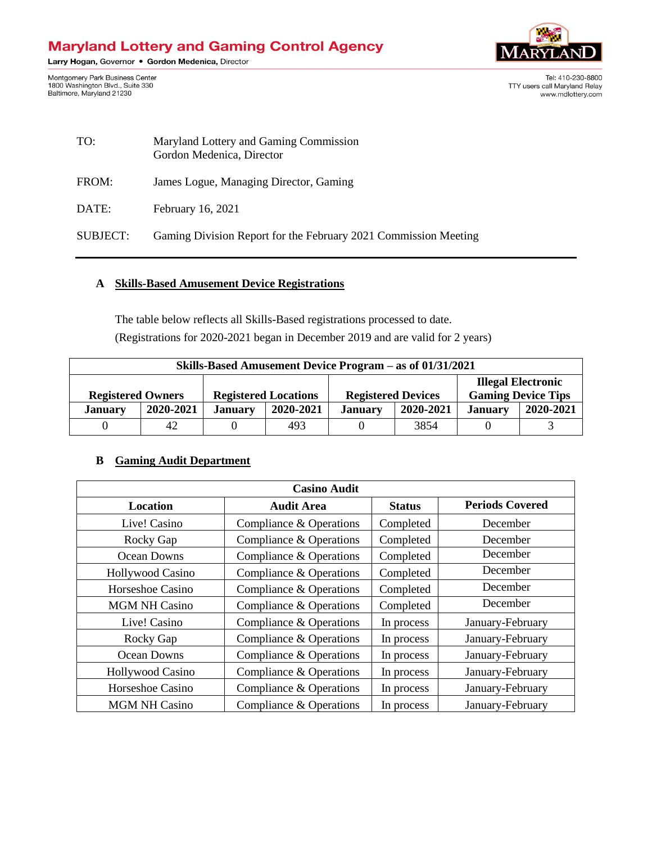# **Maryland Lottery and Gaming Control Agency**

Larry Hogan, Governor . Gordon Medenica, Director

Montgomery Park Business Center<br>1800 Washington Blvd., Suite 330<br>Baltimore, Maryland 21230



Tel: 410-230-8800 TTY users call Maryland Relay www.mdlottery.com

| TO:      | Maryland Lottery and Gaming Commission<br>Gordon Medenica, Director |
|----------|---------------------------------------------------------------------|
| FROM:    | James Logue, Managing Director, Gaming                              |
| DATE:    | February 16, 2021                                                   |
| SUBJECT: | Gaming Division Report for the February 2021 Commission Meeting     |

# **A Skills-Based Amusement Device Registrations**

The table below reflects all Skills-Based registrations processed to date. (Registrations for 2020-2021 began in December 2019 and are valid for 2 years)

| Skills-Based Amusement Device Program – as of 01/31/2021 |    |                             |                |                           |                |                                                        |  |
|----------------------------------------------------------|----|-----------------------------|----------------|---------------------------|----------------|--------------------------------------------------------|--|
|                                                          |    | <b>Registered Locations</b> |                | <b>Registered Devices</b> |                | <b>Illegal Electronic</b><br><b>Gaming Device Tips</b> |  |
| <b>Registered Owners</b><br>2020-2021<br><b>January</b>  |    | 2020-2021                   | <b>January</b> | 2020-2021                 | <b>January</b> | 2020-2021                                              |  |
| <b>January</b>                                           |    |                             |                |                           |                |                                                        |  |
|                                                          | 42 |                             | 493            |                           | 3854           |                                                        |  |

#### **B Gaming Audit Department**

| <b>Casino Audit</b>     |                         |               |                        |  |  |  |
|-------------------------|-------------------------|---------------|------------------------|--|--|--|
| Location                | <b>Audit Area</b>       | <b>Status</b> | <b>Periods Covered</b> |  |  |  |
| Live! Casino            | Compliance & Operations | Completed     | December               |  |  |  |
| Rocky Gap               | Compliance & Operations | Completed     | December               |  |  |  |
| Ocean Downs             | Compliance & Operations | Completed     | December               |  |  |  |
| <b>Hollywood Casino</b> | Compliance & Operations | Completed     | December               |  |  |  |
| Horseshoe Casino        | Compliance & Operations | Completed     | December               |  |  |  |
| <b>MGM NH Casino</b>    | Compliance & Operations | Completed     | December               |  |  |  |
| Live! Casino            | Compliance & Operations | In process    | January-February       |  |  |  |
| Rocky Gap               | Compliance & Operations | In process    | January-February       |  |  |  |
| Ocean Downs             | Compliance & Operations | In process    | January-February       |  |  |  |
| Hollywood Casino        | Compliance & Operations | In process    | January-February       |  |  |  |
| Horseshoe Casino        | Compliance & Operations | In process    | January-February       |  |  |  |
| <b>MGM NH Casino</b>    | Compliance & Operations | In process    | January-February       |  |  |  |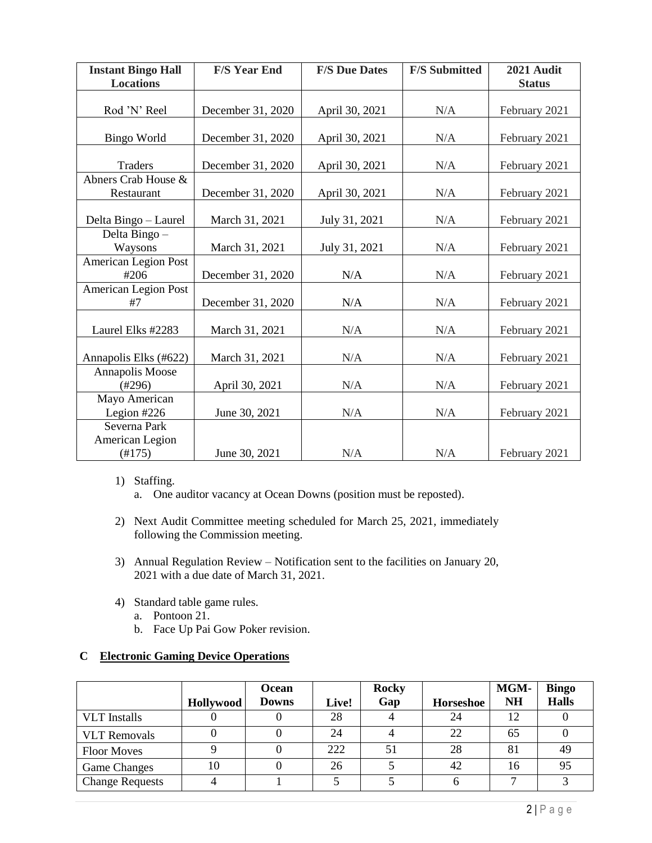| <b>Instant Bingo Hall</b><br><b>Locations</b> | <b>F/S Year End</b> | <b>F/S Due Dates</b> | <b>F/S Submitted</b> | 2021 Audit<br><b>Status</b> |  |
|-----------------------------------------------|---------------------|----------------------|----------------------|-----------------------------|--|
|                                               |                     |                      |                      |                             |  |
| Rod 'N' Reel                                  | December 31, 2020   | April 30, 2021       | N/A                  | February 2021               |  |
|                                               |                     |                      |                      |                             |  |
| <b>Bingo World</b>                            | December 31, 2020   | April 30, 2021       | N/A                  | February 2021               |  |
|                                               |                     |                      |                      |                             |  |
| Traders                                       | December 31, 2020   | April 30, 2021       | N/A                  | February 2021               |  |
| Abners Crab House &                           |                     |                      |                      |                             |  |
| Restaurant                                    | December 31, 2020   | April 30, 2021       | N/A                  | February 2021               |  |
|                                               |                     |                      |                      |                             |  |
| Delta Bingo - Laurel                          | March 31, 2021      | July 31, 2021        | N/A                  | February 2021               |  |
| Delta Bingo -                                 |                     |                      |                      |                             |  |
| Waysons                                       | March 31, 2021      | July 31, 2021        | N/A                  | February 2021               |  |
| American Legion Post                          |                     |                      |                      |                             |  |
| #206                                          | December 31, 2020   | N/A                  | N/A                  | February 2021               |  |
| <b>American Legion Post</b>                   |                     |                      |                      |                             |  |
| #7                                            | December 31, 2020   | N/A                  | N/A                  | February 2021               |  |
|                                               |                     |                      |                      |                             |  |
| Laurel Elks #2283                             | March 31, 2021      | N/A                  | N/A                  | February 2021               |  |
|                                               |                     |                      |                      |                             |  |
| Annapolis Elks (#622)                         | March 31, 2021      | N/A                  | N/A                  | February 2021               |  |
| Annapolis Moose                               |                     |                      |                      |                             |  |
| $(\#296)$                                     | April 30, 2021      | N/A                  | N/A                  | February 2021               |  |
| Mayo American                                 |                     |                      |                      |                             |  |
| Legion $#226$                                 | June 30, 2021       | N/A                  | N/A                  | February 2021               |  |
| Severna Park                                  |                     |                      |                      |                             |  |
| American Legion                               |                     |                      |                      |                             |  |
| $(\#175)$                                     | June 30, 2021       | N/A                  | N/A                  | February 2021               |  |

- 1) Staffing.
	- a. One auditor vacancy at Ocean Downs (position must be reposted).
- 2) Next Audit Committee meeting scheduled for March 25, 2021, immediately following the Commission meeting.
- 3) Annual Regulation Review Notification sent to the facilities on January 20, 2021 with a due date of March 31, 2021.
- 4) Standard table game rules.
	- a. Pontoon 21.
	- b. Face Up Pai Gow Poker revision.

## **C Electronic Gaming Device Operations**

|                        | Hollywood | Ocean<br><b>Downs</b> | Live! | <b>Rocky</b><br>Gap | <b>Horseshoe</b> | <b>MGM-</b><br><b>NH</b> | <b>Bingo</b><br><b>Halls</b> |
|------------------------|-----------|-----------------------|-------|---------------------|------------------|--------------------------|------------------------------|
| <b>VLT</b> Installs    |           |                       | 28    |                     | 24               |                          |                              |
| <b>VLT</b> Removals    |           |                       | 24    |                     | 22               | 65                       |                              |
| <b>Floor Moves</b>     |           |                       | 222   | .51                 | 28               | 81                       | 49                           |
| <b>Game Changes</b>    | 10        |                       | 26    |                     | 42               | 16                       | 95                           |
| <b>Change Requests</b> |           |                       |       |                     |                  |                          |                              |